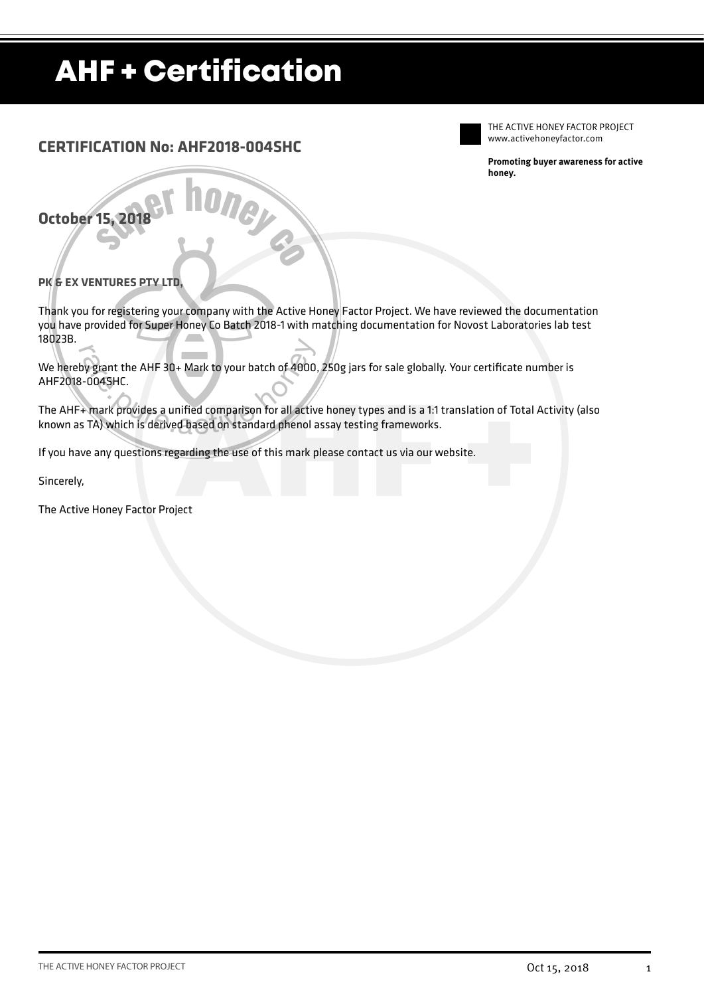## AHF + Certification

### **CERTIFICATION No: AHF2018-004SHC**

THE ACTIVE HONEY FACTOR PROJECT www.activehoneyfactor.com

**Promoting buyer awareness for active honey.**

**October 15, 2018**

### **PK & EX VENTURES PTY LTD,**

Thank you for registering your company with the Active Honey Factor Project. We have reviewed the documentation you have provided for Super Honey Co Batch 2018-1 with matching documentation for Novost Laboratories lab test 18023B.

We hereby grant the AHF 30+ Mark to your batch of 4000, 250g jars for sale globally. Your certificate number is AHF2018-004SHC.

The AHF+ mark provides a unified comparison for all active honey types and is a 1:1 translation of Total Activity (also<br>known as TA) which is derived based on standard phenol assay testing frameworks.<br>If you have any quest known as TA) which is derived based on standard phenol assay testing frameworks.

If you have any questions regarding the use of this mark please contact us via our website.

**Mey** 

Sincerely,

The Active Honey Factor Project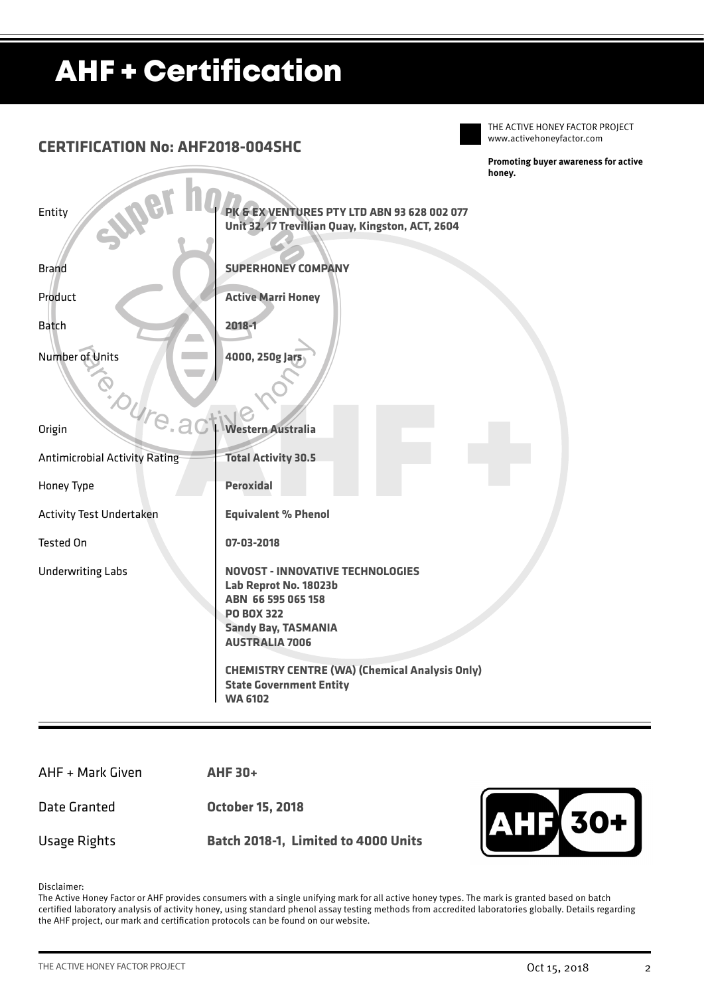# AHF + Certification

### Entity Brand Product Batch Number of Units www.activehoneyfactor.com **Promoting buyer awareness for active honey. CERTIFICATION No: AHF2018-004SHC** and The Mustralia<br>
Barriers Australia<br>
Barriers 30.5<br>
Peroxidal<br>
Equivalent % Phenol **Origin** Antimicrobial Activity Rating Honey Type Activity Test Undertaken Tested On Underwriting Labs **Western Australia Total Activity 30.5 Peroxidal Equivalent % Phenol 07-03-2018 NOVOST - INNOVATIVE TECHNOLOGIES Lab Reprot No. 18023b ABN 66 595 065 158 PO BOX 322 Sandy Bay, TASMANIA AUSTRALIA 7006 CHEMISTRY CENTRE (WA) (Chemical Analysis Only) State Government Entity WA 6102 PK & EX VENTURES PTY LTD ABN 93 628 002 077 Unit 32, 17 Trevillian Quay, Kingston, ACT, 2604 SUPERHONEY COMPANY Active Marri Honey 2018-1 4000, 250g Jars**

AHF + Mark Given

Date Granted

**AHF 30+** 

**October 15, 2018**

Usage Rights

**Batch 2018-1, Limited to 4000 Units**



THE ACTIVE HONEY FACTOR PROJECT

Disclaimer:

The Active Honey Factor or AHF provides consumers with a single unifying mark for all active honey types. The mark is granted based on batch certified laboratory analysis of activity honey, using standard phenol assay testing methods from accredited laboratories globally. Details regarding the AHF project, our mark and certification protocols can be found on our website.